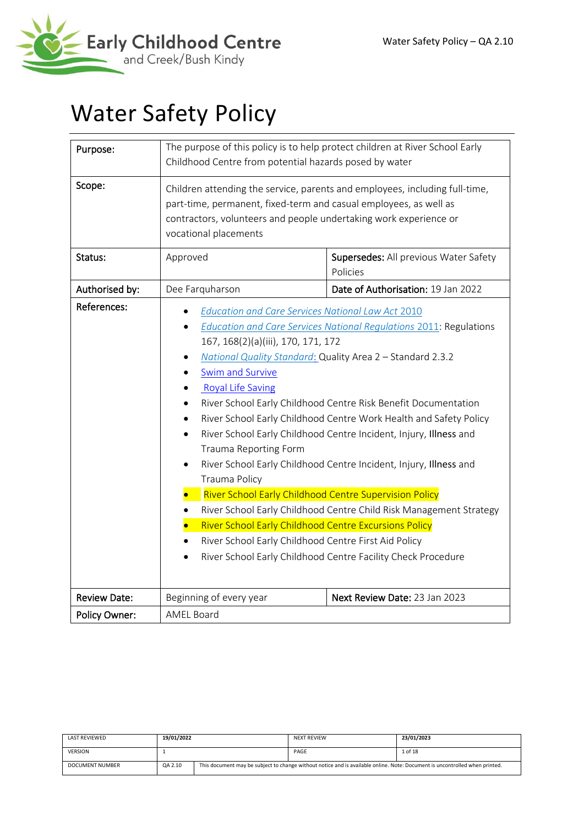

# Water Safety Policy

| Purpose:            | The purpose of this policy is to help protect children at River School Early<br>Childhood Centre from potential hazards posed by water                                                                                                                                                                                                                                                               |                                                                                                                                                                                                                                                                                                                                                                                                                                                                                                                                                                |  |  |  |
|---------------------|------------------------------------------------------------------------------------------------------------------------------------------------------------------------------------------------------------------------------------------------------------------------------------------------------------------------------------------------------------------------------------------------------|----------------------------------------------------------------------------------------------------------------------------------------------------------------------------------------------------------------------------------------------------------------------------------------------------------------------------------------------------------------------------------------------------------------------------------------------------------------------------------------------------------------------------------------------------------------|--|--|--|
| Scope:              | vocational placements                                                                                                                                                                                                                                                                                                                                                                                | Children attending the service, parents and employees, including full-time,<br>part-time, permanent, fixed-term and casual employees, as well as<br>contractors, volunteers and people undertaking work experience or                                                                                                                                                                                                                                                                                                                                          |  |  |  |
| Status:             | Approved<br>Supersedes: All previous Water Safety<br>Policies                                                                                                                                                                                                                                                                                                                                        |                                                                                                                                                                                                                                                                                                                                                                                                                                                                                                                                                                |  |  |  |
| Authorised by:      | Dee Farquharson                                                                                                                                                                                                                                                                                                                                                                                      | Date of Authorisation: 19 Jan 2022                                                                                                                                                                                                                                                                                                                                                                                                                                                                                                                             |  |  |  |
| References:         | <b>Education and Care Services National Law Act 2010</b><br>167, 168(2)(a)(iii), 170, 171, 172<br>Swim and Survive<br><b>Royal Life Saving</b><br>$\bullet$<br>Trauma Reporting Form<br>$\bullet$<br>Trauma Policy<br><b>River School Early Childhood Centre Supervision Policy</b><br>River School Early Childhood Centre Excursions Policy<br>River School Early Childhood Centre First Aid Policy | <b>Education and Care Services National Regulations 2011: Regulations</b><br>National Quality Standard: Quality Area 2 - Standard 2.3.2<br>River School Early Childhood Centre Risk Benefit Documentation<br>River School Early Childhood Centre Work Health and Safety Policy<br>River School Early Childhood Centre Incident, Injury, Illness and<br>River School Early Childhood Centre Incident, Injury, Illness and<br>River School Early Childhood Centre Child Risk Management Strategy<br>River School Early Childhood Centre Facility Check Procedure |  |  |  |
| <b>Review Date:</b> | Beginning of every year                                                                                                                                                                                                                                                                                                                                                                              | Next Review Date: 23 Jan 2023                                                                                                                                                                                                                                                                                                                                                                                                                                                                                                                                  |  |  |  |
| Policy Owner:       | <b>AMEL Board</b>                                                                                                                                                                                                                                                                                                                                                                                    |                                                                                                                                                                                                                                                                                                                                                                                                                                                                                                                                                                |  |  |  |

| LAST REVIEWED   | 19/01/2022 |  | <b>NEXT REVIEW</b>                                                                                                          | 23/01/2023 |
|-----------------|------------|--|-----------------------------------------------------------------------------------------------------------------------------|------------|
| <b>VERSION</b>  |            |  | PAGE                                                                                                                        | 1 of 18    |
| DOCUMENT NUMBER | QA 2.10    |  | This document may be subject to change without notice and is available online. Note: Document is uncontrolled when printed. |            |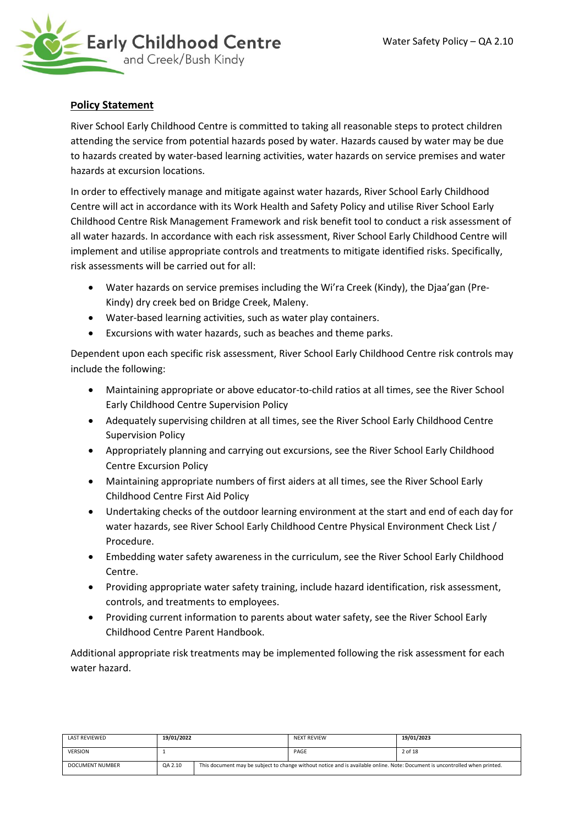

# **Policy Statement**

River School Early Childhood Centre is committed to taking all reasonable steps to protect children attending the service from potential hazards posed by water. Hazards caused by water may be due to hazards created by water-based learning activities, water hazards on service premises and water hazards at excursion locations.

In order to effectively manage and mitigate against water hazards, River School Early Childhood Centre will act in accordance with its Work Health and Safety Policy and utilise River School Early Childhood Centre Risk Management Framework and risk benefit tool to conduct a risk assessment of all water hazards. In accordance with each risk assessment, River School Early Childhood Centre will implement and utilise appropriate controls and treatments to mitigate identified risks. Specifically, risk assessments will be carried out for all:

- Water hazards on service premises including the Wi'ra Creek (Kindy), the Djaa'gan (Pre-Kindy) dry creek bed on Bridge Creek, Maleny.
- Water-based learning activities, such as water play containers.
- Excursions with water hazards, such as beaches and theme parks.

Dependent upon each specific risk assessment, River School Early Childhood Centre risk controls may include the following:

- Maintaining appropriate or above educator-to-child ratios at all times, see the River School Early Childhood Centre Supervision Policy
- Adequately supervising children at all times, see the River School Early Childhood Centre Supervision Policy
- Appropriately planning and carrying out excursions, see the River School Early Childhood Centre Excursion Policy
- Maintaining appropriate numbers of first aiders at all times, see the River School Early Childhood Centre First Aid Policy
- Undertaking checks of the outdoor learning environment at the start and end of each day for water hazards, see River School Early Childhood Centre Physical Environment Check List / Procedure.
- Embedding water safety awareness in the curriculum, see the River School Early Childhood Centre.
- Providing appropriate water safety training, include hazard identification, risk assessment, controls, and treatments to employees.
- Providing current information to parents about water safety, see the River School Early Childhood Centre Parent Handbook.

Additional appropriate risk treatments may be implemented following the risk assessment for each water hazard.

| LAST REVIEWED   | 19/01/2022 |  | <b>NEXT REVIEW</b>                                                                                                          | 19/01/2023 |
|-----------------|------------|--|-----------------------------------------------------------------------------------------------------------------------------|------------|
| <b>VERSION</b>  |            |  | PAGE                                                                                                                        | 2 of 18    |
| DOCUMENT NUMBER | QA 2.10    |  | This document may be subject to change without notice and is available online. Note: Document is uncontrolled when printed. |            |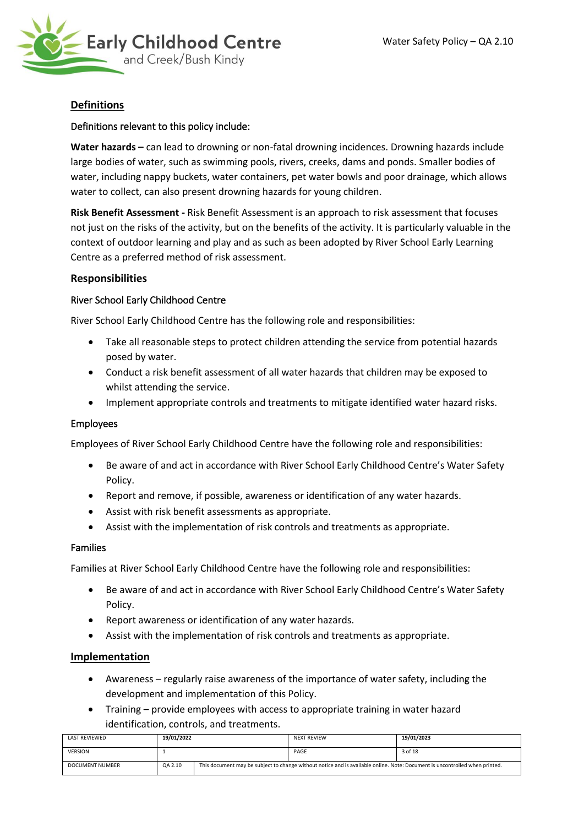

# **Definitions**

#### Definitions relevant to this policy include:

**Water hazards –** can lead to drowning or non-fatal drowning incidences. Drowning hazards include large bodies of water, such as swimming pools, rivers, creeks, dams and ponds. Smaller bodies of water, including nappy buckets, water containers, pet water bowls and poor drainage, which allows water to collect, can also present drowning hazards for young children.

**Risk Benefit Assessment -** Risk Benefit Assessment is an approach to risk assessment that focuses not just on the risks of the activity, but on the benefits of the activity. It is particularly valuable in the context of outdoor learning and play and as such as been adopted by River School Early Learning Centre as a preferred method of risk assessment.

# **Responsibilities**

#### River School Early Childhood Centre

River School Early Childhood Centre has the following role and responsibilities:

- Take all reasonable steps to protect children attending the service from potential hazards posed by water.
- Conduct a risk benefit assessment of all water hazards that children may be exposed to whilst attending the service.
- Implement appropriate controls and treatments to mitigate identified water hazard risks.

#### Employees

Employees of River School Early Childhood Centre have the following role and responsibilities:

- Be aware of and act in accordance with River School Early Childhood Centre's Water Safety Policy.
- Report and remove, if possible, awareness or identification of any water hazards.
- Assist with risk benefit assessments as appropriate.
- Assist with the implementation of risk controls and treatments as appropriate.

#### Families

Families at River School Early Childhood Centre have the following role and responsibilities:

- Be aware of and act in accordance with River School Early Childhood Centre's Water Safety Policy.
- Report awareness or identification of any water hazards.
- Assist with the implementation of risk controls and treatments as appropriate.

#### **Implementation**

- Awareness regularly raise awareness of the importance of water safety, including the development and implementation of this Policy.
- Training provide employees with access to appropriate training in water hazard identification, controls, and treatments.

| <b>LAST REVIEWED</b>   | 19/01/2022 |  | <b>NEXT REVIEW</b>                                                                                                          | 19/01/2023 |
|------------------------|------------|--|-----------------------------------------------------------------------------------------------------------------------------|------------|
| <b>VERSION</b>         |            |  | PAGE                                                                                                                        | 3 of 18    |
| <b>DOCUMENT NUMBER</b> | QA 2.10    |  | This document may be subject to change without notice and is available online. Note: Document is uncontrolled when printed. |            |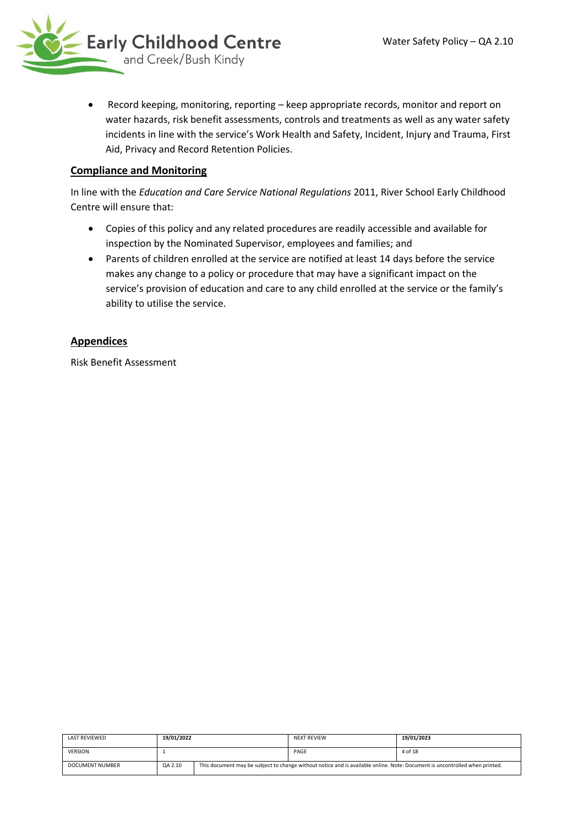

• Record keeping, monitoring, reporting – keep appropriate records, monitor and report on water hazards, risk benefit assessments, controls and treatments as well as any water safety incidents in line with the service's Work Health and Safety, Incident, Injury and Trauma, First Aid, Privacy and Record Retention Policies.

# **Compliance and Monitoring**

In line with the *Education and Care Service National Regulations* 2011, River School Early Childhood Centre will ensure that:

- Copies of this policy and any related procedures are readily accessible and available for inspection by the Nominated Supervisor, employees and families; and
- Parents of children enrolled at the service are notified at least 14 days before the service makes any change to a policy or procedure that may have a significant impact on the service's provision of education and care to any child enrolled at the service or the family's ability to utilise the service.

# **Appendices**

Risk Benefit Assessment

| LAST REVIEWED   | 19/01/2022 |  | <b>NEXT REVIEW</b>                                                                                                          | 19/01/2023 |
|-----------------|------------|--|-----------------------------------------------------------------------------------------------------------------------------|------------|
| <b>VERSION</b>  |            |  | PAGE                                                                                                                        | 4 of 18    |
| DOCUMENT NUMBER | QA 2.10    |  | This document may be subject to change without notice and is available online. Note: Document is uncontrolled when printed. |            |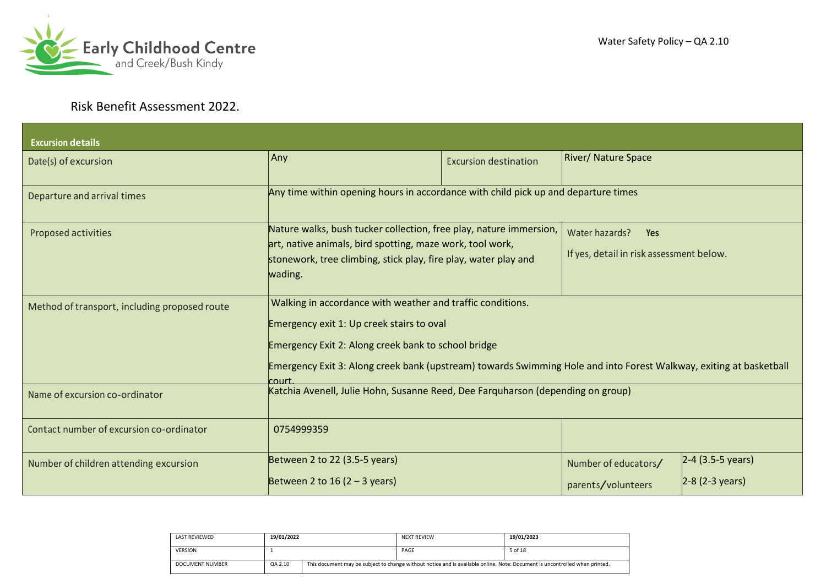

# Water Safety Policy – QA 2.10

# Risk Benefit Assessment 2022.

| <b>Excursion details</b>                      |                                                                                                                                                                                                                                                                                               |                              |                                                                          |                                                   |
|-----------------------------------------------|-----------------------------------------------------------------------------------------------------------------------------------------------------------------------------------------------------------------------------------------------------------------------------------------------|------------------------------|--------------------------------------------------------------------------|---------------------------------------------------|
| Date(s) of excursion                          | Any                                                                                                                                                                                                                                                                                           | <b>Excursion destination</b> | River/ Nature Space                                                      |                                                   |
| Departure and arrival times                   | Any time within opening hours in accordance with child pick up and departure times                                                                                                                                                                                                            |                              |                                                                          |                                                   |
| Proposed activities                           | Nature walks, bush tucker collection, free play, nature immersion,<br>art, native animals, bird spotting, maze work, tool work,<br>stonework, tree climbing, stick play, fire play, water play and<br>wading.                                                                                 |                              | Water hazards?<br><b>Yes</b><br>If yes, detail in risk assessment below. |                                                   |
| Method of transport, including proposed route | Walking in accordance with weather and traffic conditions.<br>Emergency exit 1: Up creek stairs to oval<br>Emergency Exit 2: Along creek bank to school bridge<br>Emergency Exit 3: Along creek bank (upstream) towards Swimming Hole and into Forest Walkway, exiting at basketball<br>rourt |                              |                                                                          |                                                   |
| Name of excursion co-ordinator                | Katchia Avenell, Julie Hohn, Susanne Reed, Dee Farquharson (depending on group)                                                                                                                                                                                                               |                              |                                                                          |                                                   |
| Contact number of excursion co-ordinator      | 0754999359                                                                                                                                                                                                                                                                                    |                              |                                                                          |                                                   |
| Number of children attending excursion        | Between 2 to 22 (3.5-5 years)<br>Between 2 to 16 $(2 – 3$ years)                                                                                                                                                                                                                              |                              | Number of educators/<br>parents/volunteers                               | $2-4$ (3.5-5 years)<br>$ 2-8(2-3 \text{ years}) $ |

| <b>LAST REVIEWED</b> | 19/01/2022 |  | <b>NEXT REVIEW</b>                                                                                                          | 19/01/2023 |
|----------------------|------------|--|-----------------------------------------------------------------------------------------------------------------------------|------------|
| <b>VERSION</b>       |            |  | PAGE                                                                                                                        | 5 of 18    |
| DOCUMENT NUMBER      | QA 2.10    |  | This document may be subject to change without notice and is available online. Note: Document is uncontrolled when printed. |            |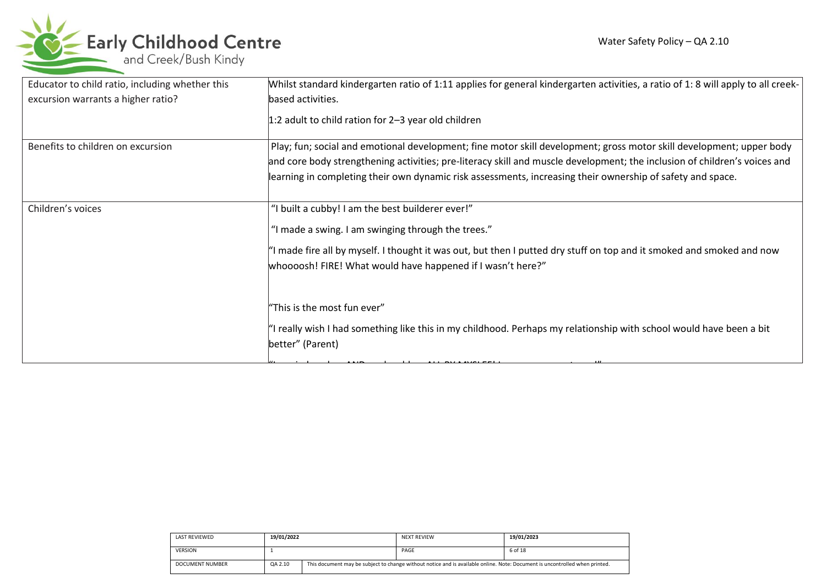

| Educator to child ratio, including whether this | Whilst standard kindergarten ratio of 1:11 applies for general kindergarten activities, a ratio of 1:8 will apply to all creek-         |
|-------------------------------------------------|-----------------------------------------------------------------------------------------------------------------------------------------|
| excursion warrants a higher ratio?              | based activities.                                                                                                                       |
|                                                 | $ 1:2$ adult to child ration for 2-3 year old children                                                                                  |
| Benefits to children on excursion               | Play; fun; social and emotional development; fine motor skill development; gross motor skill development; upper body                    |
|                                                 | and core body strengthening activities; pre-literacy skill and muscle development; the inclusion of children's voices and               |
|                                                 | learning in completing their own dynamic risk assessments, increasing their ownership of safety and space.                              |
| Children's voices                               | "I built a cubby! I am the best builderer ever!"                                                                                        |
|                                                 | "I made a swing. I am swinging through the trees."                                                                                      |
|                                                 | "I made fire all by myself. I thought it was out, but then I putted dry stuff on top and it smoked and smoked and now                   |
|                                                 | whoooosh! FIRE! What would have happened if I wasn't here?"                                                                             |
|                                                 |                                                                                                                                         |
|                                                 | "This is the most fun ever"                                                                                                             |
|                                                 | "I really wish I had something like this in my childhood. Perhaps my relationship with school would have been a bit<br>better" (Parent) |

"I carried my lunchbox AND my lunchbox ALL BY MYSLEF! I am soon strong and the soon strong that the soon strong<br>"I am soon strong the soon strong the soon strong that the sound of the soon strong that the sound of the soci

| <b>LAST REVIEWED</b> | 19/01/2022 |  | <b>NEXT REVIEW</b>                                                                                                          | 19/01/2023 |
|----------------------|------------|--|-----------------------------------------------------------------------------------------------------------------------------|------------|
| <b>VERSION</b>       |            |  | PAGE                                                                                                                        | 6 of 18    |
| DOCUMENT NUMBER      | QA 2.10    |  | This document may be subject to change without notice and is available online. Note: Document is uncontrolled when printed. |            |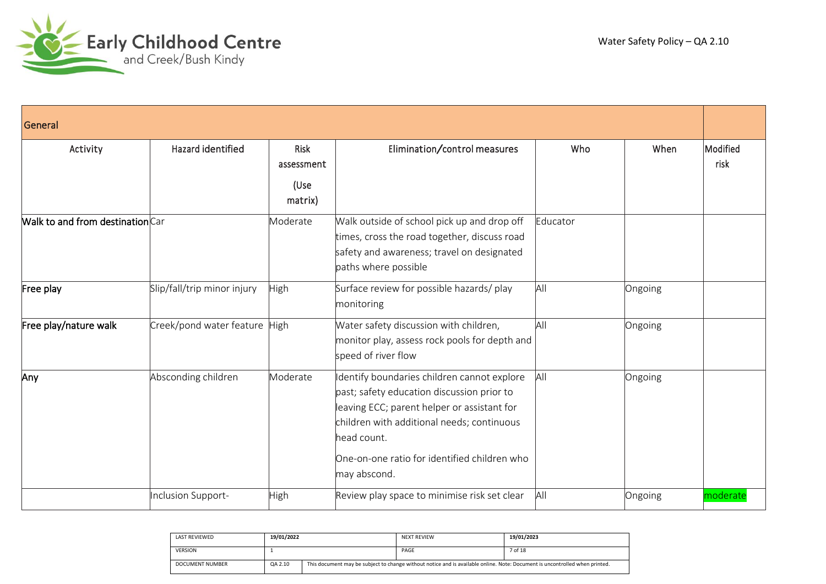

| General                          |                             |                                       |                                                                                                                                                                                                                                                                      |          |         |                  |  |
|----------------------------------|-----------------------------|---------------------------------------|----------------------------------------------------------------------------------------------------------------------------------------------------------------------------------------------------------------------------------------------------------------------|----------|---------|------------------|--|
| Activity                         | Hazard identified           | Risk<br>assessment<br>(Use<br>matrix) | Elimination/control measures                                                                                                                                                                                                                                         | Who      | When    | Modified<br>risk |  |
| Walk to and from destination Car |                             | Moderate                              | Walk outside of school pick up and drop off<br>times, cross the road together, discuss road<br>safety and awareness; travel on designated<br>paths where possible                                                                                                    | Educator |         |                  |  |
| Free play                        | Slip/fall/trip minor injury | High                                  | Surface review for possible hazards/ play<br>monitoring                                                                                                                                                                                                              | All      | Ongoing |                  |  |
| Free play/nature walk            | Creek/pond water feature    | <b>High</b>                           | Water safety discussion with children,<br>monitor play, assess rock pools for depth and<br>speed of river flow                                                                                                                                                       | All      | Ongoing |                  |  |
| Any                              | Absconding children         | Moderate                              | dentify boundaries children cannot explore<br>past; safety education discussion prior to<br>leaving ECC; parent helper or assistant for<br>children with additional needs; continuous<br>head count.<br>One-on-one ratio for identified children who<br>may abscond. | AII      | Ongoing |                  |  |
|                                  | Inclusion Support-          | High                                  | Review play space to minimise risk set clear                                                                                                                                                                                                                         | All      | Ongoing | moderate         |  |

| <b>LAST REVIEWED</b> | 19/01/2022 |  | <b>NEXT REVIEW</b>                                                                                                          | 19/01/2023 |
|----------------------|------------|--|-----------------------------------------------------------------------------------------------------------------------------|------------|
| <b>VERSION</b>       |            |  | PAGE                                                                                                                        | 7 of 18    |
| DOCUMENT NUMBER      | QA 2.10    |  | This document may be subject to change without notice and is available online. Note: Document is uncontrolled when printed. |            |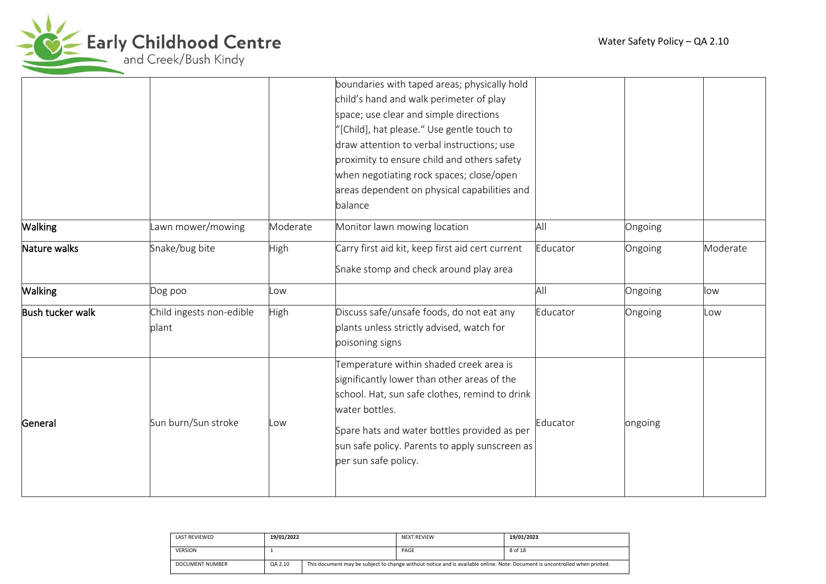



|                  |                                   |          | boundaries with taped areas; physically hold<br>child's hand and walk perimeter of play<br>space; use clear and simple directions<br>'[Child], hat please." Use gentle touch to<br>draw attention to verbal instructions; use<br>proximity to ensure child and others safety<br>when negotiating rock spaces; close/open<br>areas dependent on physical capabilities and |          |         |          |
|------------------|-----------------------------------|----------|--------------------------------------------------------------------------------------------------------------------------------------------------------------------------------------------------------------------------------------------------------------------------------------------------------------------------------------------------------------------------|----------|---------|----------|
|                  |                                   |          | balance                                                                                                                                                                                                                                                                                                                                                                  |          |         |          |
| Walking          | awn mower/mowing                  | Moderate | Monitor lawn mowing location                                                                                                                                                                                                                                                                                                                                             | All      | Ongoing |          |
| Nature walks     | Snake/bug bite                    | High     | Carry first aid kit, keep first aid cert current<br>Snake stomp and check around play area                                                                                                                                                                                                                                                                               | Educator | Ongoing | Moderate |
| <b>Walking</b>   | Dog poo                           | Low      |                                                                                                                                                                                                                                                                                                                                                                          | All      | Ongoing | low      |
| Bush tucker walk | Child ingests non-edible<br>plant | High     | Discuss safe/unsafe foods, do not eat any<br>plants unless strictly advised, watch for<br>poisoning signs                                                                                                                                                                                                                                                                | Educator | Ongoing | .ow      |
| General          | Sun burn/Sun stroke               | Low      | Temperature within shaded creek area is<br>significantly lower than other areas of the<br>school. Hat, sun safe clothes, remind to drink<br>water bottles.<br>Spare hats and water bottles provided as per<br>sun safe policy. Parents to apply sunscreen as<br>per sun safe policy.                                                                                     | Educator | ongoing |          |

| <b>LAST REVIEWED</b> | 19/01/2022 |                                                                                                                             | <b>NEXT REVIEW</b> | 19/01/2023 |  |
|----------------------|------------|-----------------------------------------------------------------------------------------------------------------------------|--------------------|------------|--|
| <b>VERSION</b>       |            |                                                                                                                             | PAGE               | 8 of 18    |  |
| DOCUMENT NUMBER      | QA 2.10    | This document may be subject to change without notice and is available online. Note: Document is uncontrolled when printed. |                    |            |  |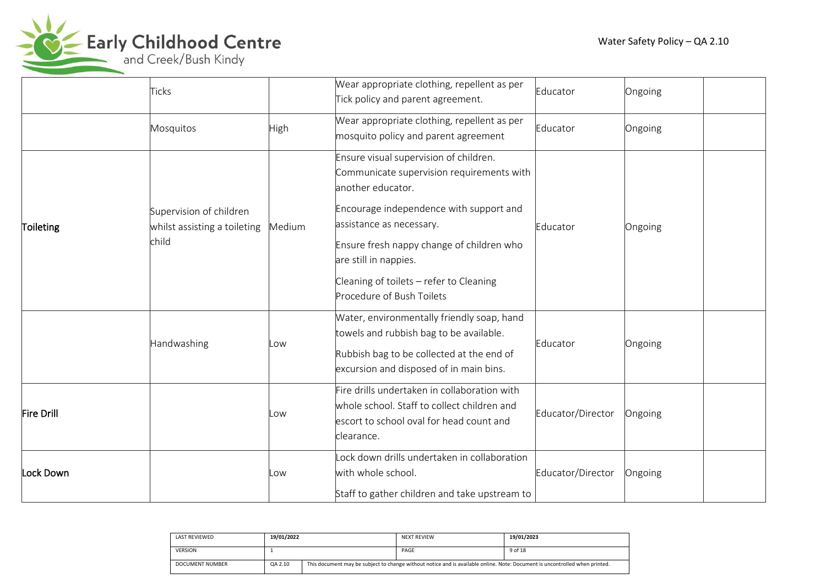

Early Childhood Centre

|            | <b>Ticks</b>                                                     |        | Wear appropriate clothing, repellent as per<br>Tick policy and parent agreement.                                                                                                                                                                                                                                              | Educator          | Ongoing |
|------------|------------------------------------------------------------------|--------|-------------------------------------------------------------------------------------------------------------------------------------------------------------------------------------------------------------------------------------------------------------------------------------------------------------------------------|-------------------|---------|
|            | Mosquitos                                                        | High   | Wear appropriate clothing, repellent as per<br>mosquito policy and parent agreement                                                                                                                                                                                                                                           | Educator          | Ongoing |
| Toileting  | Supervision of children<br>whilst assisting a toileting<br>child | Medium | Ensure visual supervision of children.<br>Communicate supervision requirements with<br>another educator.<br>Encourage independence with support and<br>assistance as necessary.<br>Ensure fresh nappy change of children who<br>are still in nappies.<br>Cleaning of toilets - refer to Cleaning<br>Procedure of Bush Toilets | Educator          | Ongoing |
|            | Handwashing                                                      | Low    | Water, environmentally friendly soap, hand<br>towels and rubbish bag to be available.<br>Rubbish bag to be collected at the end of<br>excursion and disposed of in main bins.                                                                                                                                                 | Educator          | Ongoing |
| Fire Drill |                                                                  | Low    | Fire drills undertaken in collaboration with<br>whole school. Staff to collect children and<br>escort to school oval for head count and<br>clearance.                                                                                                                                                                         | Educator/Director | Ongoing |
| Lock Down  |                                                                  | Low    | ock down drills undertaken in collaboration<br>with whole school.<br>Staff to gather children and take upstream to                                                                                                                                                                                                            | Educator/Director | Ongoing |

| <b>LAST REVIEWED</b> | 19/01/2022 |                                                                                                                             | <b>NEXT REVIEW</b> | 19/01/2023 |  |
|----------------------|------------|-----------------------------------------------------------------------------------------------------------------------------|--------------------|------------|--|
| <b>VERSION</b>       |            |                                                                                                                             | PAGE               | 9 of 18    |  |
| DOCUMENT NUMBER      | QA 2.10    | This document may be subject to change without notice and is available online. Note: Document is uncontrolled when printed. |                    |            |  |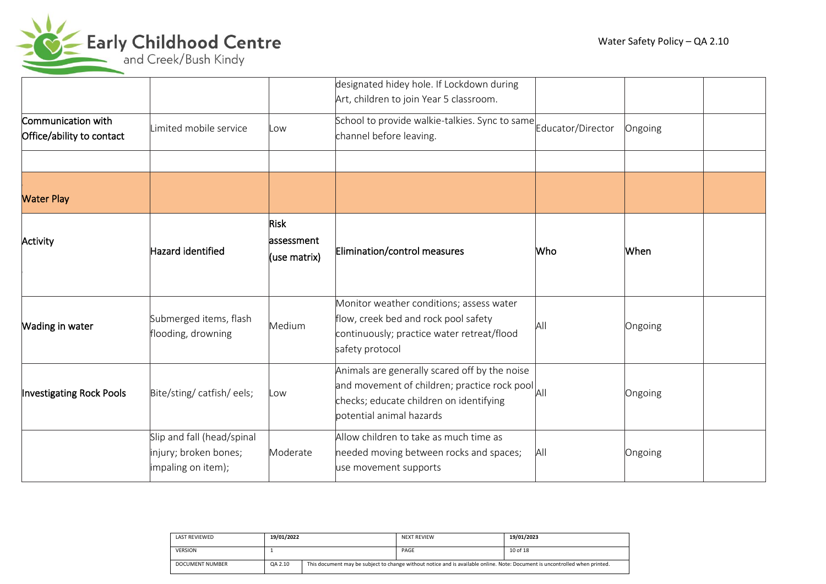

|                                                 |                                                                           |                                            | designated hidey hole. If Lockdown during<br>Art, children to join Year 5 classroom.                                                                                                                                 |                   |         |  |
|-------------------------------------------------|---------------------------------------------------------------------------|--------------------------------------------|----------------------------------------------------------------------------------------------------------------------------------------------------------------------------------------------------------------------|-------------------|---------|--|
| Communication with<br>Office/ability to contact | Limited mobile service                                                    | Low                                        | School to provide walkie-talkies. Sync to same<br>channel before leaving.                                                                                                                                            | Educator/Director | Ongoing |  |
|                                                 |                                                                           |                                            |                                                                                                                                                                                                                      |                   |         |  |
| <b>Water Play</b>                               |                                                                           |                                            |                                                                                                                                                                                                                      |                   |         |  |
| Activity                                        | Hazard identified                                                         | <b>Risk</b><br>lassessment<br>(use matrix) | Elimination/control measures                                                                                                                                                                                         | Who               | When    |  |
| <b>Wading in water</b>                          | Submerged items, flash<br>flooding, drowning                              | Medium                                     | Monitor weather conditions; assess water<br>flow, creek bed and rock pool safety<br>continuously; practice water retreat/flood<br>safety protocol                                                                    | All               | Ongoing |  |
| <b>Investigating Rock Pools</b>                 | Bite/sting/catfish/eels;                                                  | Low                                        | Animals are generally scared off by the noise<br>and movement of children; practice rock pool<br>and movement of children; practice rock pool<br>checks; educate children on identifying<br>potential animal hazards |                   | Ongoing |  |
|                                                 | Slip and fall (head/spinal<br>injury; broken bones;<br>impaling on item); | Moderate                                   | Allow children to take as much time as<br>needed moving between rocks and spaces;<br>use movement supports                                                                                                           | All               | Ongoing |  |

| <b>LAST REVIEWED</b> | 19/01/2022 |                                                                                                                             | <b>NEXT REVIEW</b> | 19/01/2023 |  |  |
|----------------------|------------|-----------------------------------------------------------------------------------------------------------------------------|--------------------|------------|--|--|
| <b>VERSION</b>       |            |                                                                                                                             | PAGE               | 10 of 18   |  |  |
| DOCUMENT NUMBER      | QA 2.10    | This document may be subject to change without notice and is available online. Note: Document is uncontrolled when printed. |                    |            |  |  |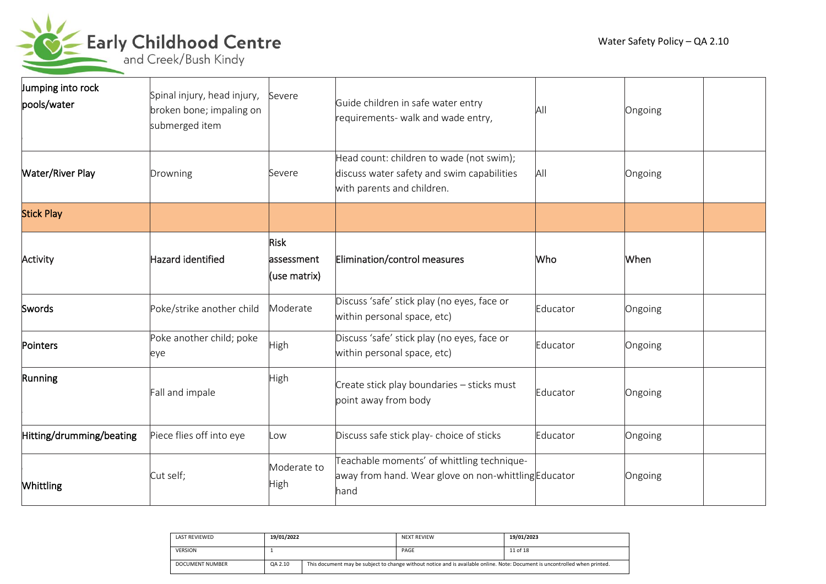

| Jumping into rock<br>pools/water | Spinal injury, head injury,<br>broken bone; impaling on<br>submerged item | Severe                                    | Guide children in safe water entry<br>requirements- walk and wade entry,                                             | Αll      | Ongoing |
|----------------------------------|---------------------------------------------------------------------------|-------------------------------------------|----------------------------------------------------------------------------------------------------------------------|----------|---------|
| <b>Water/River Play</b>          | Drowning                                                                  | Severe                                    | Head count: children to wade (not swim);<br>discuss water safety and swim capabilities<br>with parents and children. | All      | Ongoing |
| <b>Stick Play</b>                |                                                                           |                                           |                                                                                                                      |          |         |
| Activity                         | Hazard identified                                                         | <b>Risk</b><br>assessment<br>(use matrix) | Elimination/control measures                                                                                         | Who      | When    |
| Swords                           | Poke/strike another child                                                 | Moderate                                  | Discuss 'safe' stick play (no eyes, face or<br>within personal space, etc)                                           | Educator | Ongoing |
| Pointers                         | Poke another child; poke<br>eye                                           | High                                      | Discuss 'safe' stick play (no eyes, face or<br>within personal space, etc)                                           | Educator | Ongoing |
| Running                          | Fall and impale                                                           | High                                      | Create stick play boundaries - sticks must<br>point away from body                                                   | Educator | Ongoing |
| Hitting/drumming/beating         | Piece flies off into eye                                                  | LOW.                                      | Discuss safe stick play- choice of sticks                                                                            | Educator | Ongoing |
| <b>Whittling</b>                 | Cut self;                                                                 | Moderate to<br>High                       | Teachable moments' of whittling technique-<br>away from hand. Wear glove on non-whittling Educator<br>lhand          |          | Ongoing |

| <b>LAST REVIEWED</b> | 19/01/2022 |                                                                                                                             | <b>NEXT REVIEW</b> | 19/01/2023 |  |
|----------------------|------------|-----------------------------------------------------------------------------------------------------------------------------|--------------------|------------|--|
| <b>VERSION</b>       |            |                                                                                                                             | PAGE               | 11 of 18   |  |
| DOCUMENT NUMBER      | QA 2.10    | This document may be subject to change without notice and is available online. Note: Document is uncontrolled when printed. |                    |            |  |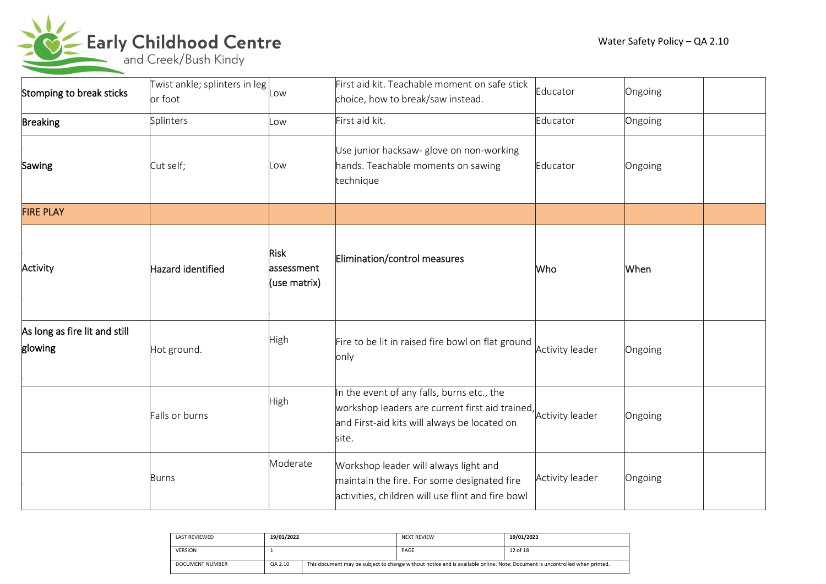

| Stomping to break sticks                 | Twist ankle; splinters in leg<br>or foot | Low                                        | First aid kit. Teachable moment on safe stick<br>choice, how to break/saw instead.                                                                                     | Educator        | Ongoing |
|------------------------------------------|------------------------------------------|--------------------------------------------|------------------------------------------------------------------------------------------------------------------------------------------------------------------------|-----------------|---------|
| <b>Breaking</b>                          | Splinters                                | LOW                                        | First aid kit.                                                                                                                                                         | Educator        | Ongoing |
| Sawing                                   | Cut self;                                | .ow                                        | Use junior hacksaw- glove on non-working<br>hands. Teachable moments on sawing<br>technique                                                                            | Educator        | Ongoing |
| <b>FIRE PLAY</b>                         |                                          |                                            |                                                                                                                                                                        |                 |         |
| Activity                                 | Hazard identified                        | <b>Risk</b><br>lassessment<br>(use matrix) | Elimination/control measures                                                                                                                                           | Who             | When    |
| As long as fire lit and still<br>glowing | Hot ground.                              | High                                       | Fire to be lit in raised fire bowl on flat ground<br>only                                                                                                              | Activity leader | Ongoing |
|                                          | Falls or burns                           | High                                       | In the event of any falls, burns etc., the<br>workshop leaders are current first aid trained, Activity leader<br>and First-aid kits will always be located on<br>site. |                 | Ongoing |
|                                          | <b>Burns</b>                             | Moderate                                   | Workshop leader will always light and<br>maintain the fire. For some designated fire<br>activities, children will use flint and fire bowl                              | Activity leader | Ongoing |

| <b>LAST REVIEWED</b> | 19/01/2022 |                                                                                                                             | <b>NEXT REVIEW</b> | 19/01/2023 |  |
|----------------------|------------|-----------------------------------------------------------------------------------------------------------------------------|--------------------|------------|--|
| <b>VERSION</b>       |            |                                                                                                                             | PAGE               | 12 of 18   |  |
| DOCUMENT NUMBER      | QA 2.10    | This document may be subject to change without notice and is available online. Note: Document is uncontrolled when printed. |                    |            |  |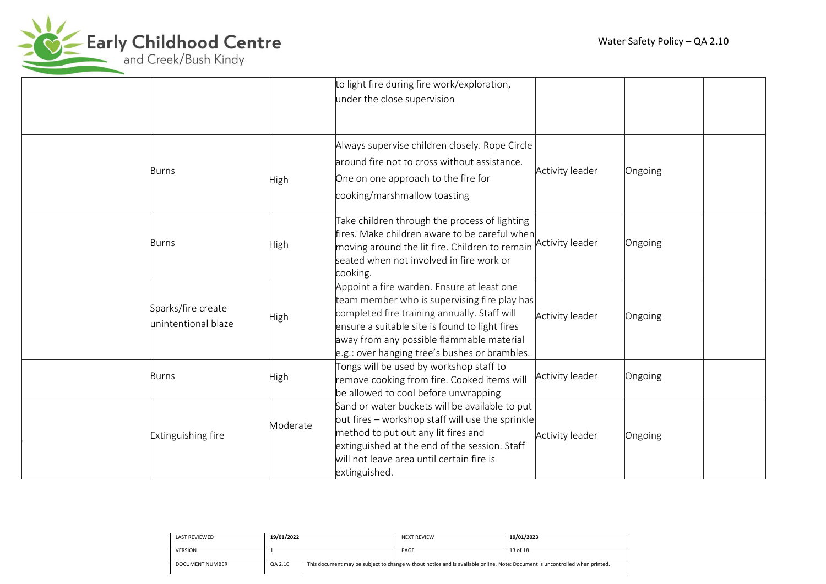

|                                            |             | to light fire during fire work/exploration,<br>under the close supervision                                                                                                                                                                                                                 |                 |         |
|--------------------------------------------|-------------|--------------------------------------------------------------------------------------------------------------------------------------------------------------------------------------------------------------------------------------------------------------------------------------------|-----------------|---------|
| Burns                                      | <b>High</b> | Always supervise children closely. Rope Circle<br>around fire not to cross without assistance.<br>One on one approach to the fire for<br>cooking/marshmallow toasting                                                                                                                      | Activity leader | Ongoing |
| Burns                                      | <b>High</b> | Take children through the process of lighting<br>fires. Make children aware to be careful when<br>moving around the lit fire. Children to remain Activity leader<br>seated when not involved in fire work or<br>cooking.                                                                   |                 | Ongoing |
| Sparks/fire create<br>lunintentional blaze | High        | Appoint a fire warden. Ensure at least one<br>team member who is supervising fire play has<br>completed fire training annually. Staff will<br>ensure a suitable site is found to light fires<br>away from any possible flammable material<br>e.g.: over hanging tree's bushes or brambles. | Activity leader | Ongoing |
| <b>Burns</b>                               | High        | Tongs will be used by workshop staff to<br>remove cooking from fire. Cooked items will<br>be allowed to cool before unwrapping                                                                                                                                                             | Activity leader | Ongoing |
| Extinguishing fire                         | Moderate    | Sand or water buckets will be available to put<br>out fires – workshop staff will use the sprinkle<br>method to put out any lit fires and<br>extinguished at the end of the session. Staff<br>will not leave area until certain fire is<br>extinguished.                                   | Activity leader | Ongoing |

| LAST REVIEWED   | 19/01/2022 |                                                                                                                             | NEXT REVIEW | 19/01/2023 |  |
|-----------------|------------|-----------------------------------------------------------------------------------------------------------------------------|-------------|------------|--|
| <b>VERSION</b>  |            |                                                                                                                             | PAGE        | 13 of 18   |  |
| DOCUMENT NUMBER | QA 2.10    | This document may be subject to change without notice and is available online. Note: Document is uncontrolled when printed. |             |            |  |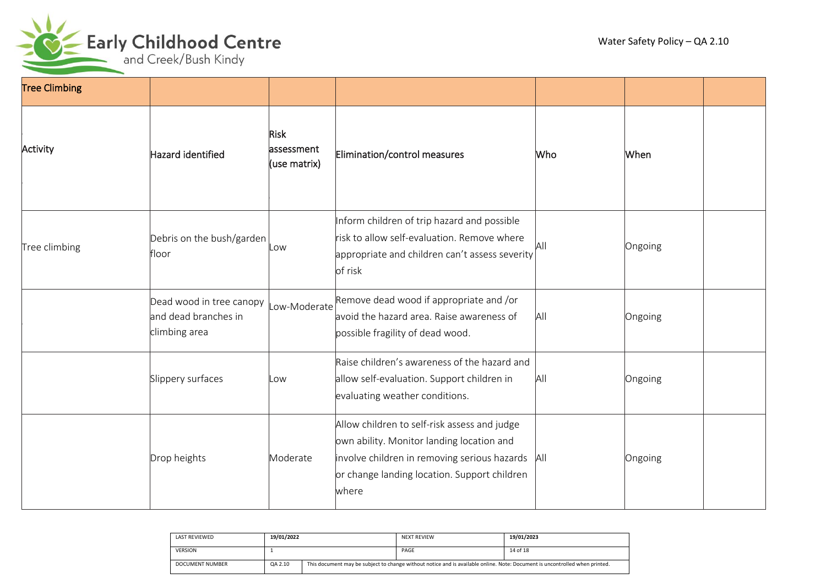

| <b>Tree Climbing</b> |                                                                   |                                           |                                                                                                                                                                                                          |     |         |  |
|----------------------|-------------------------------------------------------------------|-------------------------------------------|----------------------------------------------------------------------------------------------------------------------------------------------------------------------------------------------------------|-----|---------|--|
| Activity             | Hazard identified                                                 | <b>Risk</b><br>assessment<br>(use matrix) | Elimination/control measures                                                                                                                                                                             | Who | When    |  |
| Tree climbing        | Debris on the bush/garden<br>floor                                | .ow                                       | Inform children of trip hazard and possible<br>risk to allow self-evaluation. Remove where<br>appropriate and children can't assess severity<br>of risk                                                  | All | Ongoing |  |
|                      | Dead wood in tree canopy<br>and dead branches in<br>climbing area | ow-Moderate                               | Remove dead wood if appropriate and /or<br>avoid the hazard area. Raise awareness of<br>possible fragility of dead wood.                                                                                 | All | Ongoing |  |
|                      | Slippery surfaces                                                 | LOW                                       | Raise children's awareness of the hazard and<br>allow self-evaluation. Support children in<br>evaluating weather conditions.                                                                             | All | Ongoing |  |
|                      | Drop heights                                                      | Moderate                                  | Allow children to self-risk assess and judge<br>own ability. Monitor landing location and<br>involve children in removing serious hazards   All<br>or change landing location. Support children<br>where |     | Ongoing |  |

| <b>LAST REVIEWED</b> | 19/01/2022 |                                                                                                                             | <b>NEXT REVIEW</b> | 19/01/2023 |
|----------------------|------------|-----------------------------------------------------------------------------------------------------------------------------|--------------------|------------|
| <b>VERSION</b>       |            |                                                                                                                             | PAGE               | 14 of 18   |
| DOCUMENT NUMBER      | QA 2.10    | This document may be subject to change without notice and is available online. Note: Document is uncontrolled when printed. |                    |            |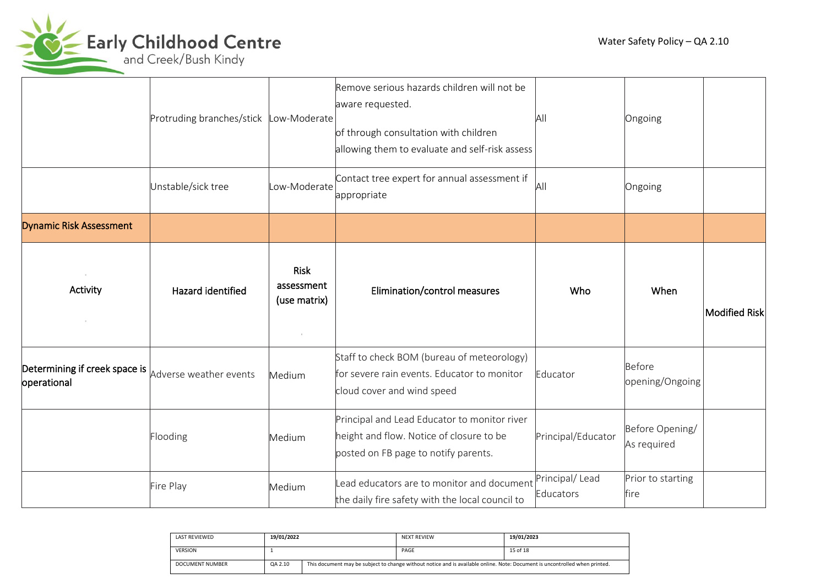

|                                                                                  | Protruding branches/stick | ow-Moderate                               | Remove serious hazards children will not be<br>aware requested.<br>of through consultation with children<br>allowing them to evaluate and self-risk assess | All                         | Ongoing                        |               |
|----------------------------------------------------------------------------------|---------------------------|-------------------------------------------|------------------------------------------------------------------------------------------------------------------------------------------------------------|-----------------------------|--------------------------------|---------------|
|                                                                                  | Unstable/sick tree        | ow-Moderate                               | Contact tree expert for annual assessment if<br>appropriate                                                                                                | ΙAΙ                         | Ongoing                        |               |
| <b>Dynamic Risk Assessment</b>                                                   |                           |                                           |                                                                                                                                                            |                             |                                |               |
| $\sim$<br>Activity                                                               | Hazard identified         | <b>Risk</b><br>assessment<br>(use matrix) | Elimination/control measures                                                                                                                               | Who                         | When                           | Modified Risk |
| Determining if creek space is $ _{\text{Adverse weather events}}$<br>operational |                           | Medium                                    | Staff to check BOM (bureau of meteorology)<br>for severe rain events. Educator to monitor<br>cloud cover and wind speed                                    | Educator                    | Before<br>opening/Ongoing      |               |
|                                                                                  | Flooding                  | Medium                                    | Principal and Lead Educator to monitor river<br>height and flow. Notice of closure to be<br>posted on FB page to notify parents.                           | Principal/Educator          | Before Opening/<br>As required |               |
|                                                                                  | Fire Play                 | Medium                                    | Lead educators are to monitor and document<br>the daily fire safety with the local council to                                                              | Principal/Lead<br>Educators | Prior to starting<br>fire      |               |

| <b>LAST REVIEWED</b> | 19/01/2022 |  | <b>NEXT REVIEW</b>                                                                                                          | 19/01/2023 |
|----------------------|------------|--|-----------------------------------------------------------------------------------------------------------------------------|------------|
| <b>VERSION</b>       |            |  | PAGE                                                                                                                        | 15 of 18   |
| DOCUMENT NUMBER      | QA 2.10    |  | This document may be subject to change without notice and is available online. Note: Document is uncontrolled when printed. |            |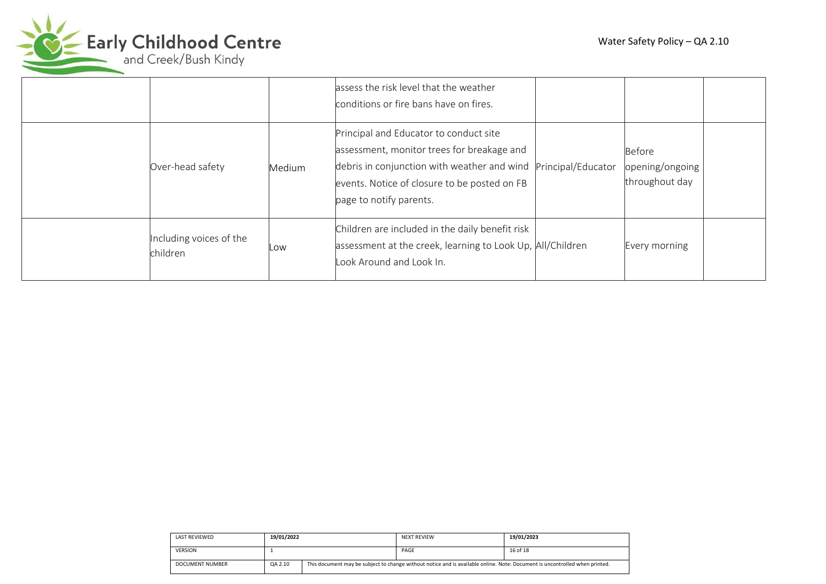

|                                     |        | assess the risk level that the weather<br>conditions or fire bans have on fires.                                                                                                                               |                    |                                                    |  |
|-------------------------------------|--------|----------------------------------------------------------------------------------------------------------------------------------------------------------------------------------------------------------------|--------------------|----------------------------------------------------|--|
| Over-head safety                    | Medium | Principal and Educator to conduct site<br>assessment, monitor trees for breakage and<br>debris in conjunction with weather and wind<br>events. Notice of closure to be posted on FB<br>page to notify parents. | Principal/Educator | <b>Before</b><br>opening/ongoing<br>throughout day |  |
| Including voices of the<br>children | Low    | Children are included in the daily benefit risk<br>assessment at the creek, learning to Look Up, All/Children<br>Look Around and Look In.                                                                      |                    | Every morning                                      |  |

| LAST REVIEWED   | 19/01/2022 |  | <b>NEXT REVIEW</b>                                                                                                          | 19/01/2023 |
|-----------------|------------|--|-----------------------------------------------------------------------------------------------------------------------------|------------|
| <b>VERSION</b>  |            |  | PAGE                                                                                                                        | 16 of 18   |
| DOCUMENT NUMBER | QA 2.10    |  | This document may be subject to change without notice and is available online. Note: Document is uncontrolled when printed. |            |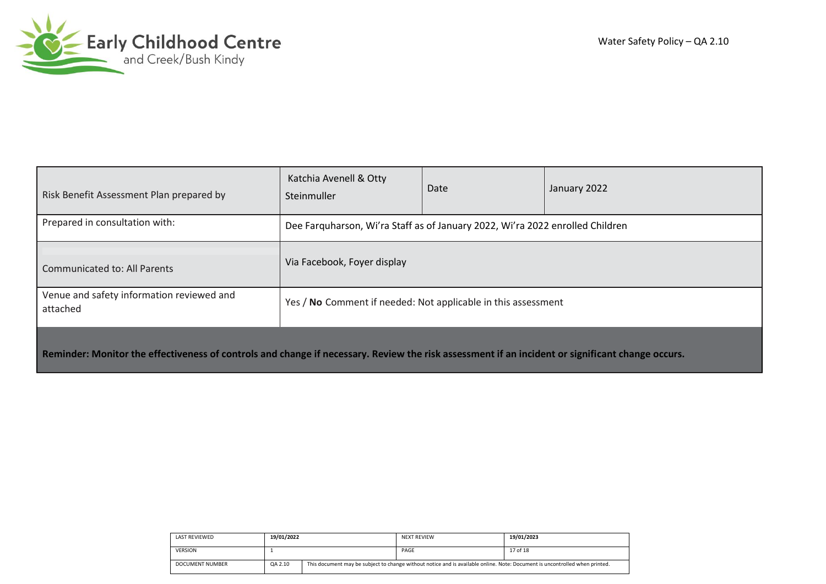

| Risk Benefit Assessment Plan prepared by                                                                                                         | Katchia Avenell & Otty<br>Steinmuller                                         | Date | January 2022 |  |  |
|--------------------------------------------------------------------------------------------------------------------------------------------------|-------------------------------------------------------------------------------|------|--------------|--|--|
| Prepared in consultation with:                                                                                                                   | Dee Farguharson, Wi'ra Staff as of January 2022, Wi'ra 2022 enrolled Children |      |              |  |  |
| <b>Communicated to: All Parents</b>                                                                                                              | Via Facebook, Foyer display                                                   |      |              |  |  |
| Venue and safety information reviewed and<br>attached                                                                                            | Yes / No Comment if needed: Not applicable in this assessment                 |      |              |  |  |
| Reminder: Monitor the effectiveness of controls and change if necessary. Review the risk assessment if an incident or significant change occurs. |                                                                               |      |              |  |  |

| <b>LAST REVIEWED</b> | 19/01/2022 |                                                                                                                             | <b>NEXT REVIEW</b> | 19/01/2023 |
|----------------------|------------|-----------------------------------------------------------------------------------------------------------------------------|--------------------|------------|
| <b>VERSION</b>       |            |                                                                                                                             | PAGE               | 17 of 18   |
| DOCUMENT NUMBER      | QA 2.10    | This document may be subject to change without notice and is available online. Note: Document is uncontrolled when printed. |                    |            |